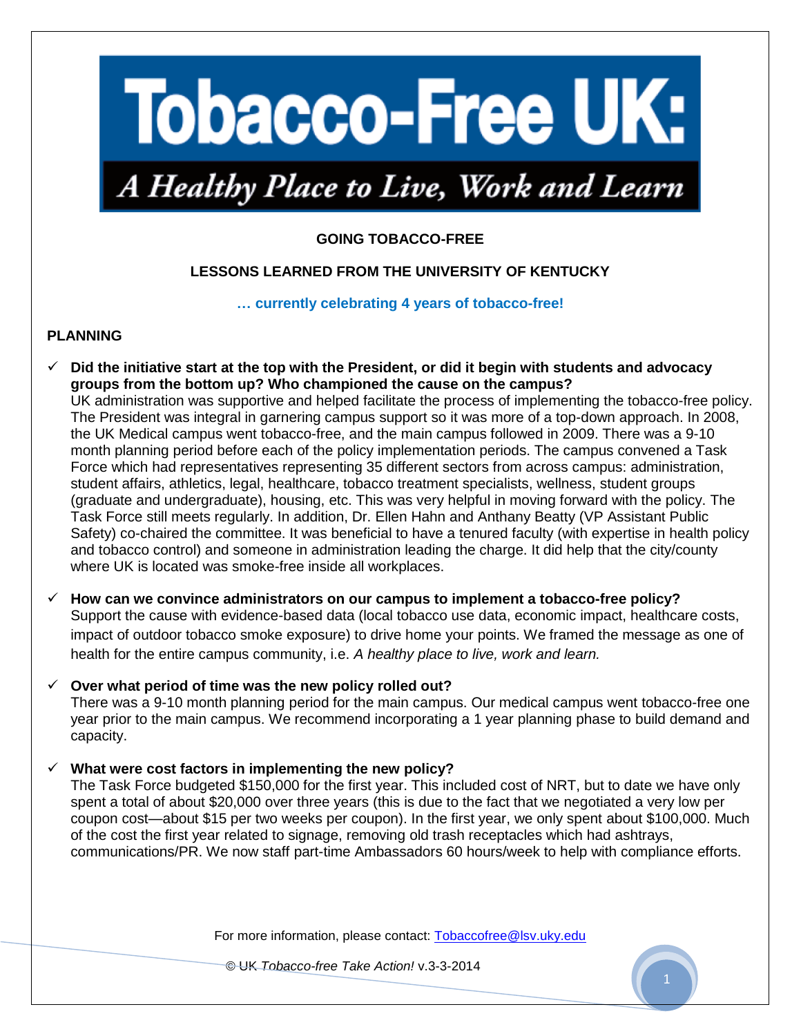# **Tobacco-Free UK:**

# A Healthy Place to Live, Work and Learn

# **GOING TOBACCO-FREE**

# **LESSONS LEARNED FROM THE UNIVERSITY OF KENTUCKY**

**… currently celebrating 4 years of tobacco-free!** 

#### **PLANNING**

 **Did the initiative start at the top with the President, or did it begin with students and advocacy groups from the bottom up? Who championed the cause on the campus?** UK administration was supportive and helped facilitate the process of implementing the tobacco-free policy. The President was integral in garnering campus support so it was more of a top-down approach. In 2008, the UK Medical campus went tobacco-free, and the main campus followed in 2009. There was a 9-10 month planning period before each of the policy implementation periods. The campus convened a Task Force which had representatives representing 35 different sectors from across campus: administration, student affairs, athletics, legal, healthcare, tobacco treatment specialists, wellness, student groups (graduate and undergraduate), housing, etc. This was very helpful in moving forward with the policy. The Task Force still meets regularly. In addition, Dr. Ellen Hahn and Anthany Beatty (VP Assistant Public Safety) co-chaired the committee. It was beneficial to have a tenured faculty (with expertise in health policy and tobacco control) and someone in administration leading the charge. It did help that the city/county where UK is located was smoke-free inside all workplaces.

# **How can we convince administrators on our campus to implement a tobacco-free policy?**

Support the cause with evidence-based data (local tobacco use data, economic impact, healthcare costs, impact of outdoor tobacco smoke exposure) to drive home your points. We framed the message as one of health for the entire campus community, i.e. *A healthy place to live, work and learn.* 

#### **Over what period of time was the new policy rolled out?**

There was a 9-10 month planning period for the main campus. Our medical campus went tobacco-free one year prior to the main campus. We recommend incorporating a 1 year planning phase to build demand and capacity.

# **What were cost factors in implementing the new policy?**

The Task Force budgeted \$150,000 for the first year. This included cost of NRT, but to date we have only spent a total of about \$20,000 over three years (this is due to the fact that we negotiated a very low per coupon cost—about \$15 per two weeks per coupon). In the first year, we only spent about \$100,000. Much of the cost the first year related to signage, removing old trash receptacles which had ashtrays, communications/PR. We now staff part-time Ambassadors 60 hours/week to help with compliance efforts.

For more information, please contact: Tobaccofree@lsv.uky.edu

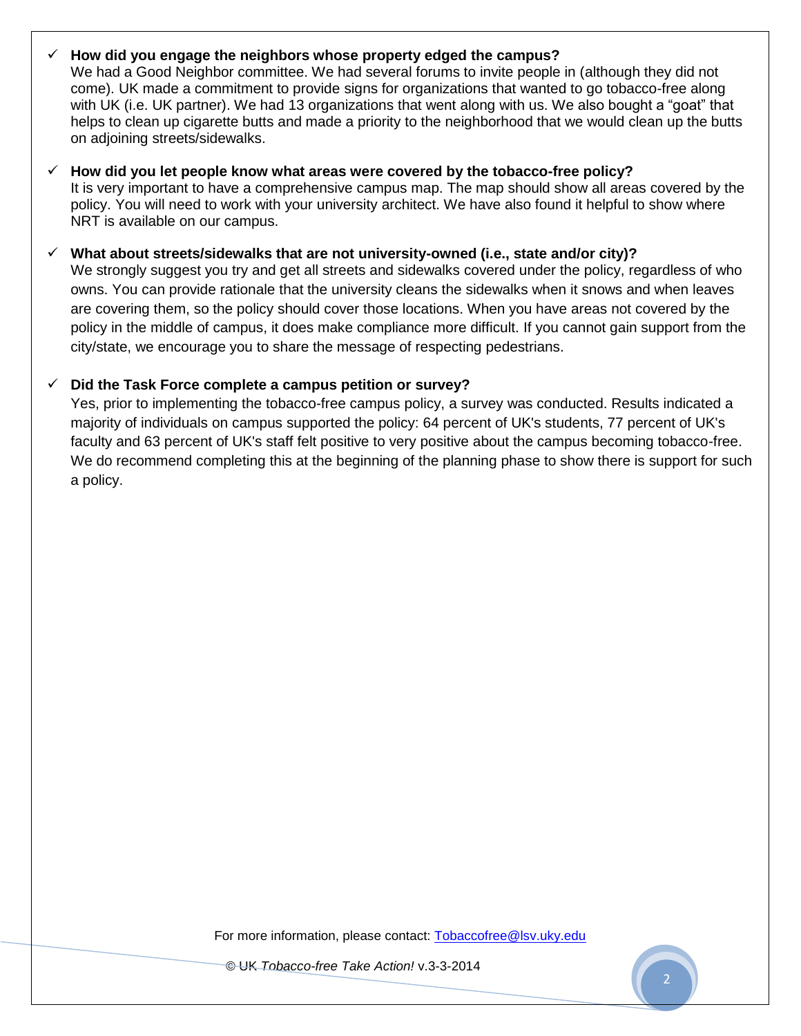## **How did you engage the neighbors whose property edged the campus?**

We had a Good Neighbor committee. We had several forums to invite people in (although they did not come). UK made a commitment to provide signs for organizations that wanted to go tobacco-free along with UK (i.e. UK partner). We had 13 organizations that went along with us. We also bought a "goat" that helps to clean up cigarette butts and made a priority to the neighborhood that we would clean up the butts on adjoining streets/sidewalks.

 **How did you let people know what areas were covered by the tobacco-free policy?**  It is very important to have a comprehensive campus map. The map should show all areas covered by the policy. You will need to work with your university architect. We have also found it helpful to show where NRT is available on our campus.

#### **What about streets/sidewalks that are not university-owned (i.e., state and/or city)?**

We strongly suggest you try and get all streets and sidewalks covered under the policy, regardless of who owns. You can provide rationale that the university cleans the sidewalks when it snows and when leaves are covering them, so the policy should cover those locations. When you have areas not covered by the policy in the middle of campus, it does make compliance more difficult. If you cannot gain support from the city/state, we encourage you to share the message of respecting pedestrians.

#### **Did the Task Force complete a campus petition or survey?**

Yes, prior to implementing the tobacco-free campus policy, a survey was conducted. Results indicated a majority of individuals on campus supported the policy: 64 percent of UK's students, 77 percent of UK's faculty and 63 percent of UK's staff felt positive to very positive about the campus becoming tobacco-free. We do recommend completing this at the beginning of the planning phase to show there is support for such a policy.

For more information, please contact: Tobaccofree@lsv.uky.edu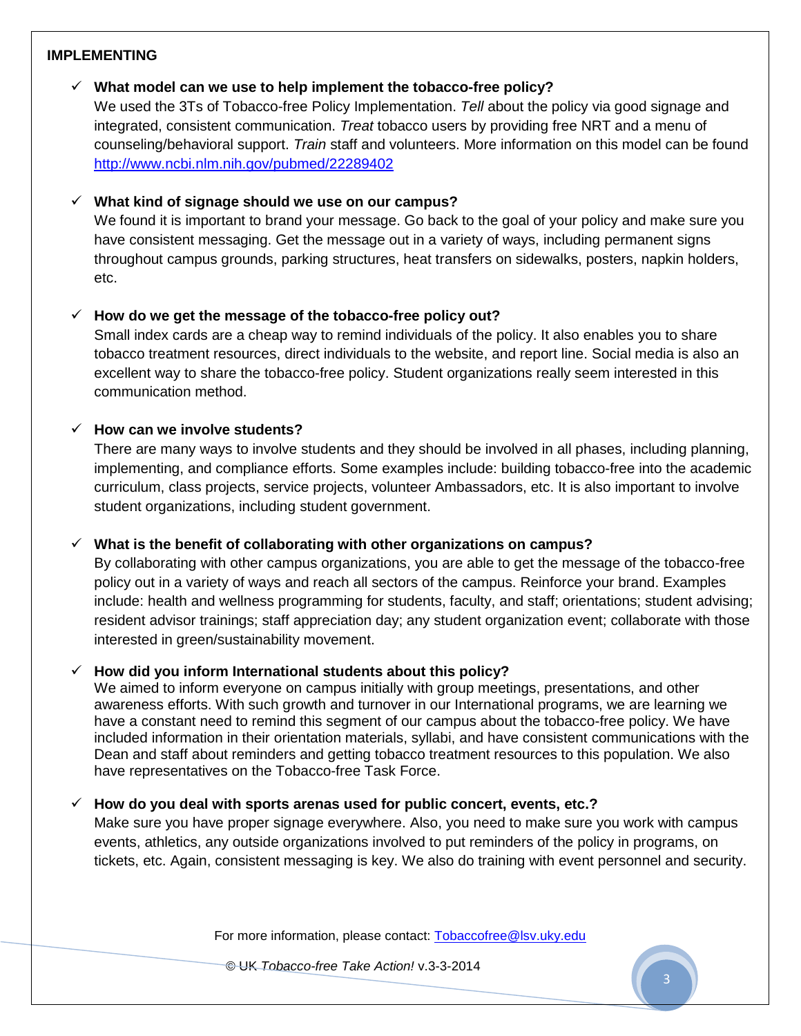#### **IMPLEMENTING**

## **What model can we use to help implement the tobacco-free policy?**

We used the 3Ts of Tobacco-free Policy Implementation. *Tell* about the policy via good signage and integrated, consistent communication. *Treat* tobacco users by providing free NRT and a menu of counseling/behavioral support. *Train* staff and volunteers. More information on this model can be found <http://www.ncbi.nlm.nih.gov/pubmed/22289402>

## **What kind of signage should we use on our campus?**

We found it is important to brand your message. Go back to the goal of your policy and make sure you have consistent messaging. Get the message out in a variety of ways, including permanent signs throughout campus grounds, parking structures, heat transfers on sidewalks, posters, napkin holders, etc.

# **How do we get the message of the tobacco-free policy out?**

Small index cards are a cheap way to remind individuals of the policy. It also enables you to share tobacco treatment resources, direct individuals to the website, and report line. Social media is also an excellent way to share the tobacco-free policy. Student organizations really seem interested in this communication method.

#### **How can we involve students?**

There are many ways to involve students and they should be involved in all phases, including planning, implementing, and compliance efforts. Some examples include: building tobacco-free into the academic curriculum, class projects, service projects, volunteer Ambassadors, etc. It is also important to involve student organizations, including student government.

# **What is the benefit of collaborating with other organizations on campus?**

By collaborating with other campus organizations, you are able to get the message of the tobacco-free policy out in a variety of ways and reach all sectors of the campus. Reinforce your brand. Examples include: health and wellness programming for students, faculty, and staff; orientations; student advising; resident advisor trainings; staff appreciation day; any student organization event; collaborate with those interested in green/sustainability movement.

# **How did you inform International students about this policy?**

We aimed to inform everyone on campus initially with group meetings, presentations, and other awareness efforts. With such growth and turnover in our International programs, we are learning we have a constant need to remind this segment of our campus about the tobacco-free policy. We have included information in their orientation materials, syllabi, and have consistent communications with the Dean and staff about reminders and getting tobacco treatment resources to this population. We also have representatives on the Tobacco-free Task Force.

# **How do you deal with sports arenas used for public concert, events, etc.?**

Make sure you have proper signage everywhere. Also, you need to make sure you work with campus events, athletics, any outside organizations involved to put reminders of the policy in programs, on tickets, etc. Again, consistent messaging is key. We also do training with event personnel and security.

For more information, please contact: Tobaccofree@lsv.uky.edu

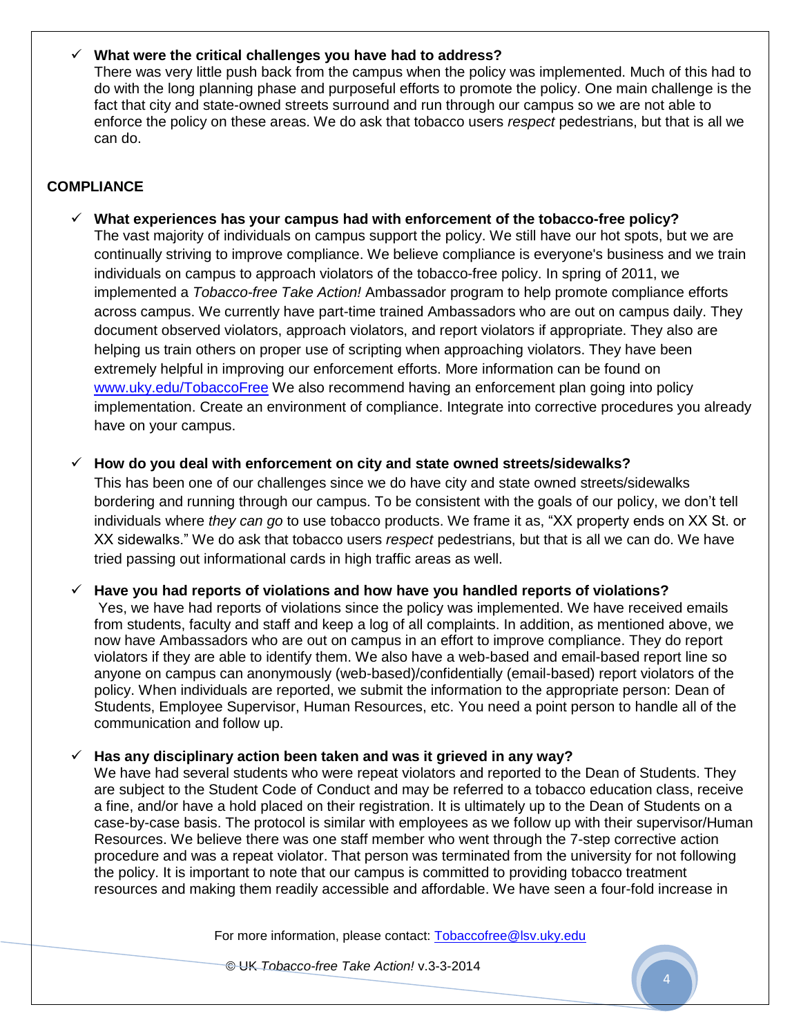#### **What were the critical challenges you have had to address?**

There was very little push back from the campus when the policy was implemented. Much of this had to do with the long planning phase and purposeful efforts to promote the policy. One main challenge is the fact that city and state-owned streets surround and run through our campus so we are not able to enforce the policy on these areas. We do ask that tobacco users *respect* pedestrians, but that is all we can do.

# **COMPLIANCE**

 **What experiences has your campus had with enforcement of the tobacco-free policy?**  The vast majority of individuals on campus support the policy. We still have our hot spots, but we are continually striving to improve compliance. We believe compliance is everyone's business and we train individuals on campus to approach violators of the tobacco-free policy. In spring of 2011, we implemented a *Tobacco-free Take Action!* Ambassador program to help promote compliance efforts across campus. We currently have part-time trained Ambassadors who are out on campus daily. They document observed violators, approach violators, and report violators if appropriate. They also are helping us train others on proper use of scripting when approaching violators. They have been extremely helpful in improving our enforcement efforts. More information can be found on [www.uky.edu/TobaccoFree](http://www.uky.edu/TobaccoFree) We also recommend having an enforcement plan going into policy implementation. Create an environment of compliance. Integrate into corrective procedures you already have on your campus.

**How do you deal with enforcement on city and state owned streets/sidewalks?** 

This has been one of our challenges since we do have city and state owned streets/sidewalks bordering and running through our campus. To be consistent with the goals of our policy, we don't tell individuals where *they can go* to use tobacco products. We frame it as, "XX property ends on XX St. or XX sidewalks." We do ask that tobacco users *respect* pedestrians, but that is all we can do. We have tried passing out informational cards in high traffic areas as well.

**Have you had reports of violations and how have you handled reports of violations?**

Yes, we have had reports of violations since the policy was implemented. We have received emails from students, faculty and staff and keep a log of all complaints. In addition, as mentioned above, we now have Ambassadors who are out on campus in an effort to improve compliance. They do report violators if they are able to identify them. We also have a web-based and email-based report line so anyone on campus can anonymously (web-based)/confidentially (email-based) report violators of the policy. When individuals are reported, we submit the information to the appropriate person: Dean of Students, Employee Supervisor, Human Resources, etc. You need a point person to handle all of the communication and follow up.

#### **Has any disciplinary action been taken and was it grieved in any way?**

We have had several students who were repeat violators and reported to the Dean of Students. They are subject to the Student Code of Conduct and may be referred to a tobacco education class, receive a fine, and/or have a hold placed on their registration. It is ultimately up to the Dean of Students on a case-by-case basis. The protocol is similar with employees as we follow up with their supervisor/Human Resources. We believe there was one staff member who went through the 7-step corrective action procedure and was a repeat violator. That person was terminated from the university for not following the policy. It is important to note that our campus is committed to providing tobacco treatment resources and making them readily accessible and affordable. We have seen a four-fold increase in

For more information, please contact: Tobaccofree@lsv.uky.edu

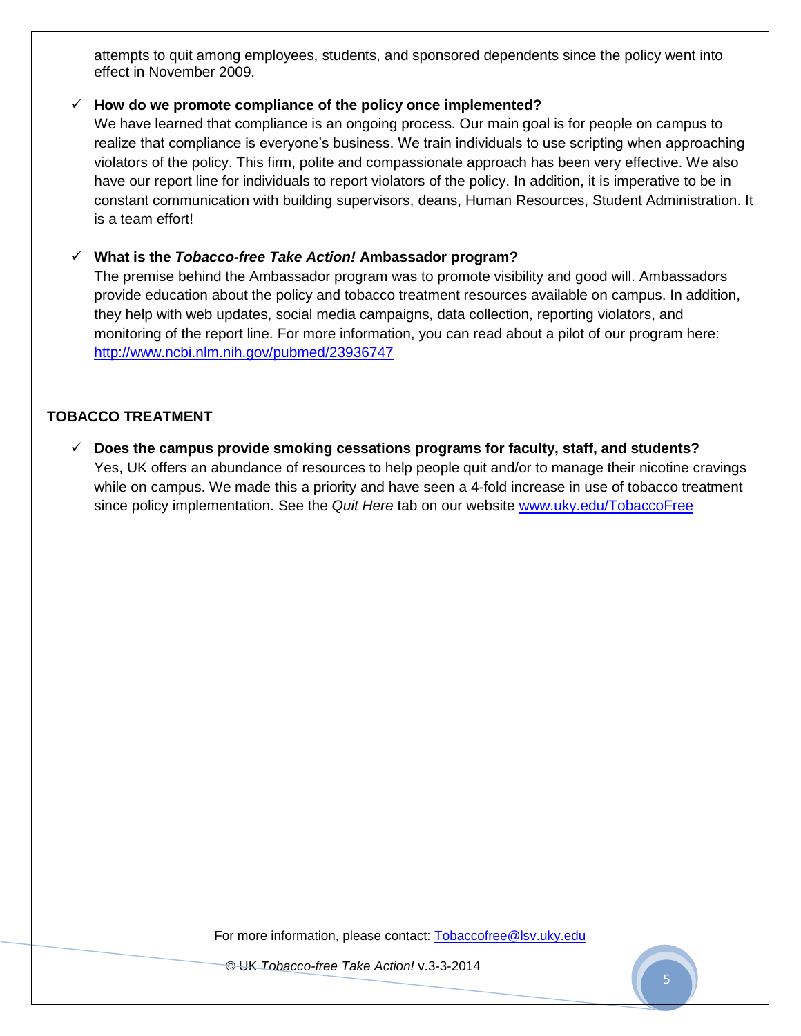attempts to quit among employees, students, and sponsored dependents since the policy went into effect in November 2009.

#### **How do we promote compliance of the policy once implemented?**

We have learned that compliance is an ongoing process. Our main goal is for people on campus to realize that compliance is everyone's business. We train individuals to use scripting when approaching violators of the policy. This firm, polite and compassionate approach has been very effective. We also have our report line for individuals to report violators of the policy. In addition, it is imperative to be in constant communication with building supervisors, deans, Human Resources, Student Administration. It is a team effort!

#### **What is the** *Tobacco-free Take Action!* **Ambassador program?**

The premise behind the Ambassador program was to promote visibility and good will. Ambassadors provide education about the policy and tobacco treatment resources available on campus. In addition, they help with web updates, social media campaigns, data collection, reporting violators, and monitoring of the report line. For more information, you can read about a pilot of our program here: <http://www.ncbi.nlm.nih.gov/pubmed/23936747>

# **TOBACCO TREATMENT**

 **Does the campus provide smoking cessations programs for faculty, staff, and students?** Yes, UK offers an abundance of resources to help people quit and/or to manage their nicotine cravings while on campus. We made this a priority and have seen a 4-fold increase in use of tobacco treatment since policy implementation. See the *Quit Here* tab on our website [www.uky.edu/TobaccoFree](http://www.uky.edu/TobaccoFree)

For more information, please contact: Tobaccofree@lsv.uky.edu